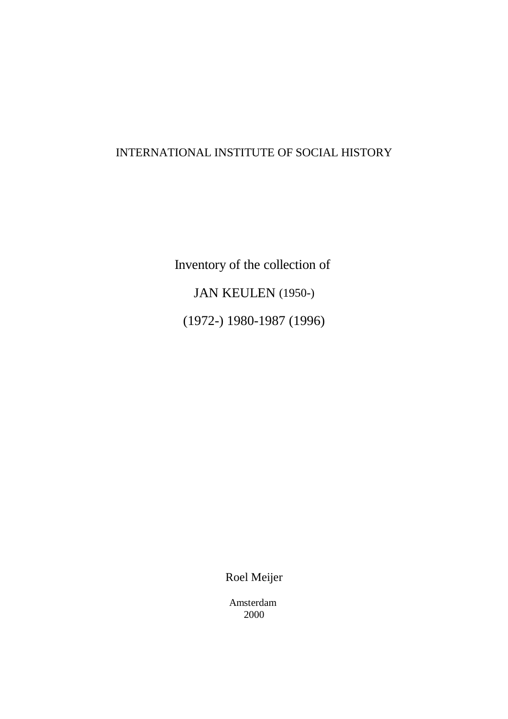# INTERNATIONAL INSTITUTE OF SOCIAL HISTORY

Inventory of the collection of JAN KEULEN (1950-) (1972-) 1980-1987 (1996)

Roel Meijer

Amsterdam 2000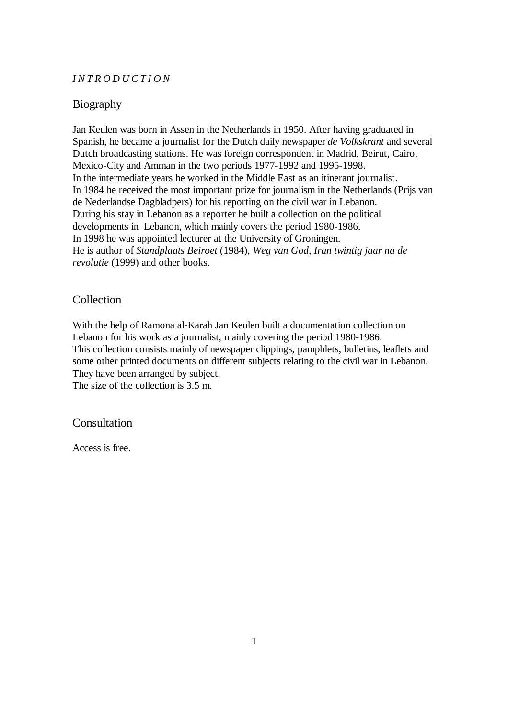### *INTRODUCTION*

## Biography

Jan Keulen was born in Assen in the Netherlands in 1950. After having graduated in Spanish, he became a journalist for the Dutch daily newspaper *de Volkskrant* and several Dutch broadcasting stations. He was foreign correspondent in Madrid, Beirut, Cairo, Mexico-City and Amman in the two periods 1977-1992 and 1995-1998. In the intermediate years he worked in the Middle East as an itinerant journalist. In 1984 he received the most important prize for journalism in the Netherlands (Prijs van de Nederlandse Dagbladpers) for his reporting on the civil war in Lebanon. During his stay in Lebanon as a reporter he built a collection on the political developments in Lebanon, which mainly covers the period 1980-1986. In 1998 he was appointed lecturer at the University of Groningen. He is author of *Standplaats Beiroet* (1984), *Weg van God, Iran twintig jaar na de revolutie* (1999) and other books.

### Collection

With the help of Ramona al-Karah Jan Keulen built a documentation collection on Lebanon for his work as a journalist, mainly covering the period 1980-1986. This collection consists mainly of newspaper clippings, pamphlets, bulletins, leaflets and some other printed documents on different subjects relating to the civil war in Lebanon. They have been arranged by subject.

The size of the collection is 3.5 m.

### Consultation

Access is free.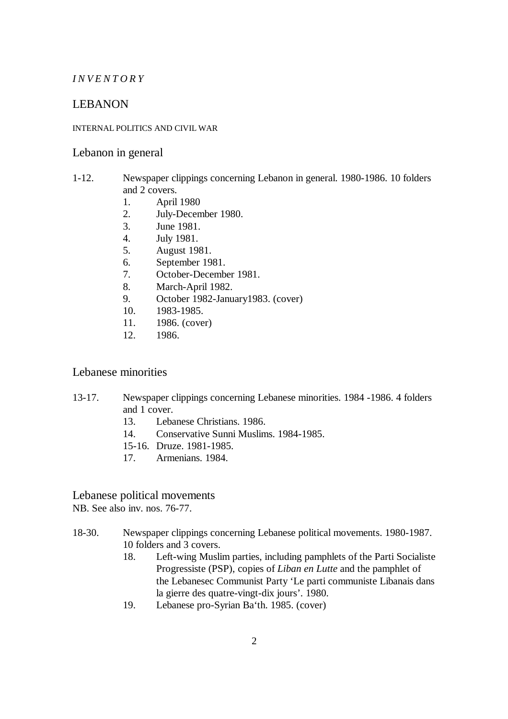### *INVENTORY*

## LEBANON

## INTERNAL POLITICS AND CIVIL WAR

#### Lebanon in general

### 1-12. Newspaper clippings concerning Lebanon in general. 1980-1986. 10 folders and 2 covers.

- 1. April 1980
- 2. July-December 1980.
- 3. June 1981.
- 4. July 1981.
- 5. August 1981.
- 6. September 1981.
- 7. October-December 1981.
- 8. March-April 1982.
- 9. October 1982-January1983. (cover)
- 10. 1983-1985.
- 11. 1986. (cover)
- 12. 1986.

### Lebanese minorities

## 13-17. Newspaper clippings concerning Lebanese minorities. 1984 -1986. 4 folders and 1 cover.

- 13. Lebanese Christians. 1986.
- 14. Conservative Sunni Muslims. 1984-1985.
- 15-16. Druze. 1981-1985.
- 17. Armenians. 1984.

### Lebanese political movements

NB. See also inv. nos. 76-77.

### 18-30. Newspaper clippings concerning Lebanese political movements. 1980-1987. 10 folders and 3 covers.

- 18. Left-wing Muslim parties, including pamphlets of the Parti Socialiste Progressiste (PSP), copies of *Liban en Lutte* and the pamphlet of the Lebanesec Communist Party 'Le parti communiste Libanais dans la gierre des quatre-vingt-dix jours'. 1980.
- 19. Lebanese pro-Syrian Ba'th. 1985. (cover)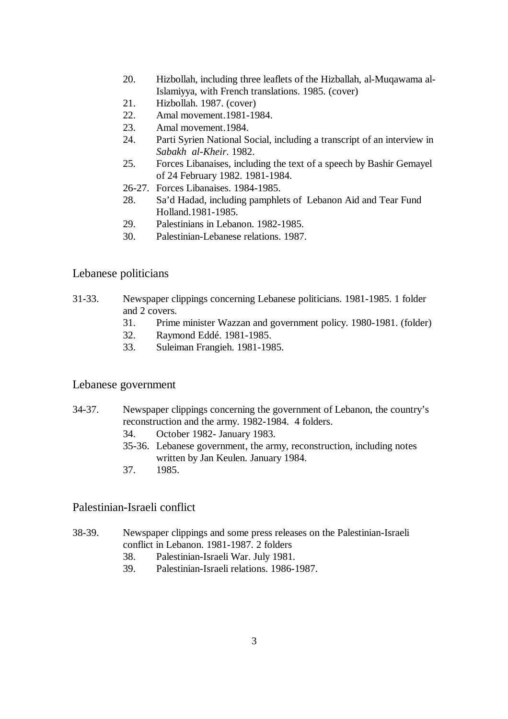- 20. Hizbollah, including three leaflets of the Hizballah, al-Muqawama al-Islamiyya, with French translations. 1985. (cover)
- 21. Hizbollah. 1987. (cover)
- 22. Amal movement.1981-1984.
- 23. Amal movement.1984.
- 24. Parti Syrien National Social, including a transcript of an interview in *Sabakh al-Kheir*. 1982.
- 25. Forces Libanaises, including the text of a speech by Bashir Gemayel of 24 February 1982. 1981-1984.
- 26-27. Forces Libanaises. 1984-1985.
- 28. Sa'd Hadad, including pamphlets of Lebanon Aid and Tear Fund Holland.1981-1985.
- 29. Palestinians in Lebanon. 1982-1985.
- 30. Palestinian-Lebanese relations. 1987.

### Lebanese politicians

- 31-33. Newspaper clippings concerning Lebanese politicians. 1981-1985. 1 folder and 2 covers.
	- 31. Prime minister Wazzan and government policy. 1980-1981. (folder)
	- 32. Raymond Eddé. 1981-1985.
	- 33. Suleiman Frangieh. 1981-1985.

### Lebanese government

- 34-37. Newspaper clippings concerning the government of Lebanon, the country's reconstruction and the army. 1982-1984. 4 folders.
	- 34. October 1982- January 1983.
	- 35-36. Lebanese government, the army, reconstruction, including notes written by Jan Keulen. January 1984.
	- 37. 1985.

## Palestinian-Israeli conflict

- 38-39. Newspaper clippings and some press releases on the Palestinian-Israeli conflict in Lebanon. 1981-1987. 2 folders
	- 38. Palestinian-Israeli War. July 1981.
	- 39. Palestinian-Israeli relations. 1986-1987.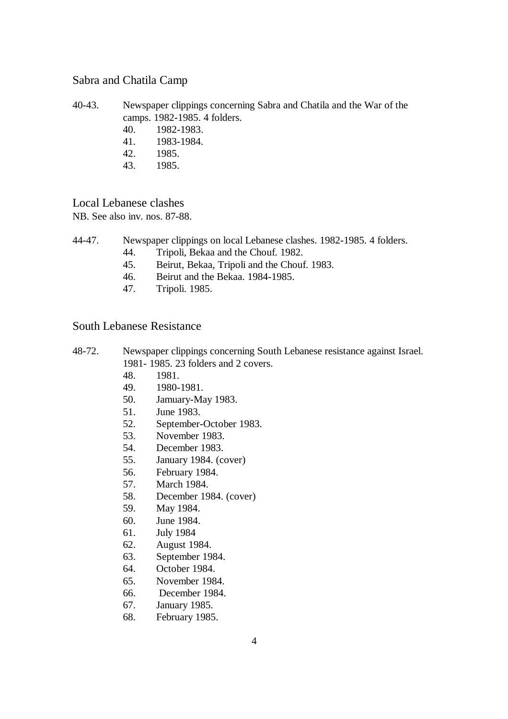## Sabra and Chatila Camp

- 40-43. Newspaper clippings concerning Sabra and Chatila and the War of the camps. 1982-1985. 4 folders.
	- 40. 1982-1983.
	- 41. 1983-1984.
	- 42. 1985.
	- 43. 1985.

# Local Lebanese clashes

NB. See also inv. nos. 87-88.

- 44-47. Newspaper clippings on local Lebanese clashes. 1982-1985. 4 folders.
	- 44. Tripoli, Bekaa and the Chouf. 1982.
	- 45. Beirut, Bekaa, Tripoli and the Chouf. 1983.
	- 46. Beirut and the Bekaa. 1984-1985.
	- 47. Tripoli. 1985.

### South Lebanese Resistance

- 48-72. Newspaper clippings concerning South Lebanese resistance against Israel. 1981- 1985. 23 folders and 2 covers.
	- 48. 1981.
	- 49. 1980-1981.
	- 50. Jamuary-May 1983.
	- 51. June 1983.
	- 52. September-October 1983.
	- 53. November 1983.
	- 54. December 1983.
	- 55. January 1984. (cover)
	- 56. February 1984.
	- 57. March 1984.
	- 58. December 1984. (cover)
	- 59. May 1984.
	- 60. June 1984.
	- 61. July 1984
	- 62. August 1984.
	- 63. September 1984.
	- 64. October 1984.
	- 65. November 1984.
	- 66. December 1984.
	- 67. January 1985.
	- 68. February 1985.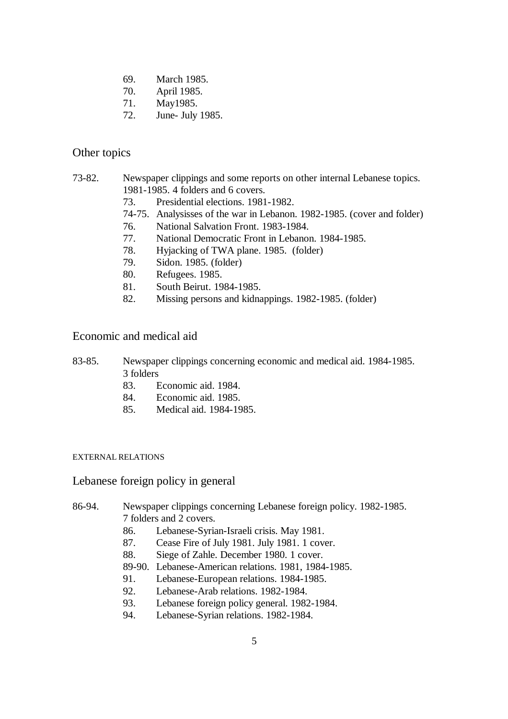- 69. March 1985.
- 70. April 1985.
- 71. May1985.
- 72. June- July 1985.

### Other topics

- 73-82. Newspaper clippings and some reports on other internal Lebanese topics. 1981-1985. 4 folders and 6 covers.
	- 73. Presidential elections. 1981-1982.
	- 74-75. Analysisses of the war in Lebanon. 1982-1985. (cover and folder)
	- 76. National Salvation Front. 1983-1984.
	- 77. National Democratic Front in Lebanon. 1984-1985.
	- 78. Hyjacking of TWA plane. 1985. (folder)
	- 79. Sidon. 1985. (folder)
	- 80. Refugees. 1985.
	- 81. South Beirut. 1984-1985.
	- 82. Missing persons and kidnappings. 1982-1985. (folder)

### Economic and medical aid

- 83-85. Newspaper clippings concerning economic and medical aid. 1984-1985. 3 folders
	- 83. Economic aid. 1984.
	- 84. Economic aid. 1985.
	- 85. Medical aid. 1984-1985.

#### EXTERNAL RELATIONS

### Lebanese foreign policy in general

### 86-94. Newspaper clippings concerning Lebanese foreign policy. 1982-1985. 7 folders and 2 covers.

- 86. Lebanese-Syrian-Israeli crisis. May 1981.
- 87. Cease Fire of July 1981. July 1981. 1 cover.
- 88. Siege of Zahle. December 1980. 1 cover.
- 89-90. Lebanese-American relations. 1981, 1984-1985.
- 91. Lebanese-European relations. 1984-1985.
- 92. Lebanese-Arab relations. 1982-1984.
- 93. Lebanese foreign policy general. 1982-1984.
- 94. Lebanese-Syrian relations. 1982-1984.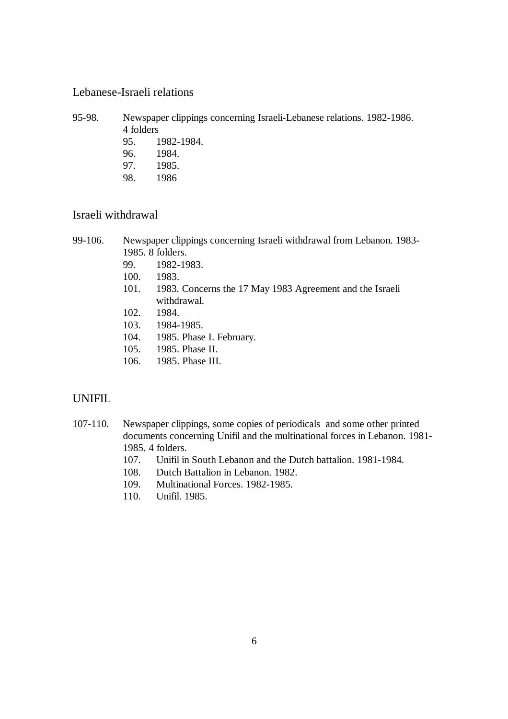## Lebanese-Israeli relations

95-98. Newspaper clippings concerning Israeli-Lebanese relations. 1982-1986. 4 folders 95. 1982-1984.

96. 1984. 97. 1985.

### 98. 1986

# Israeli withdrawal

- 99-106. Newspaper clippings concerning Israeli withdrawal from Lebanon. 1983- 1985. 8 folders.
	- 99. 1982-1983.
	- 100. 1983.
	- 101. 1983. Concerns the 17 May 1983 Agreement and the Israeli withdrawal.
	- 102. 1984.
	- 103. 1984-1985.
	- 104. 1985. Phase I. February.
	- 105. 1985. Phase II.
	- 106. 1985. Phase III.

## UNIFIL

- 107-110. Newspaper clippings, some copies of periodicals and some other printed documents concerning Unifil and the multinational forces in Lebanon. 1981- 1985. 4 folders.
	- 107. Unifil in South Lebanon and the Dutch battalion. 1981-1984.
	- 108. Dutch Battalion in Lebanon. 1982.
	- 109. Multinational Forces. 1982-1985.
	- 110. Unifil. 1985.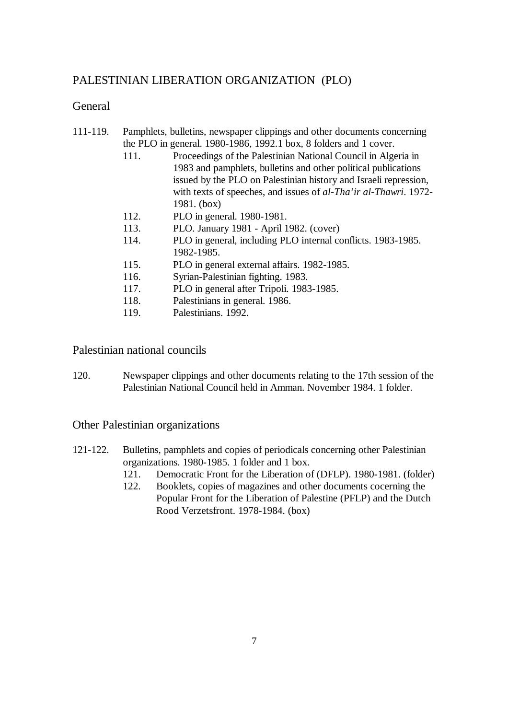# PALESTINIAN LIBERATION ORGANIZATION (PLO)

# General

- 111-119. Pamphlets, bulletins, newspaper clippings and other documents concerning the PLO in general. 1980-1986, 1992.1 box, 8 folders and 1 cover.
	- 111. Proceedings of the Palestinian National Council in Algeria in 1983 and pamphlets, bulletins and other political publications issued by the PLO on Palestinian history and Israeli repression, with texts of speeches, and issues of *al-Tha'ir al-Thawri*. 1972- 1981. (box)
	- 112. PLO in general. 1980-1981.
	- 113. PLO. January 1981 April 1982. (cover)
	- 114. PLO in general, including PLO internal conflicts. 1983-1985. 1982-1985.
	- 115. PLO in general external affairs. 1982-1985.
	- 116. Syrian-Palestinian fighting. 1983.
	- 117. PLO in general after Tripoli. 1983-1985.
	- 118. Palestinians in general. 1986.
	- 119. Palestinians. 1992.

Palestinian national councils

120. Newspaper clippings and other documents relating to the 17th session of the Palestinian National Council held in Amman. November 1984. 1 folder.

Other Palestinian organizations

- 121-122. Bulletins, pamphlets and copies of periodicals concerning other Palestinian organizations. 1980-1985. 1 folder and 1 box.
	- 121. Democratic Front for the Liberation of (DFLP). 1980-1981. (folder)
	- 122. Booklets, copies of magazines and other documents cocerning the Popular Front for the Liberation of Palestine (PFLP) and the Dutch Rood Verzetsfront. 1978-1984. (box)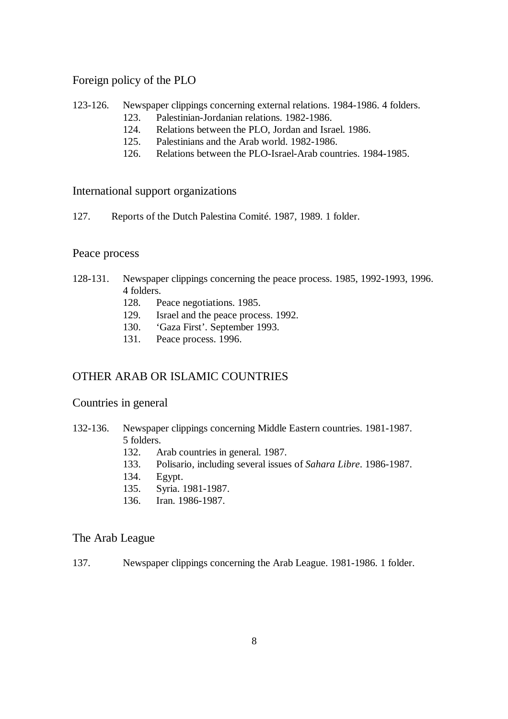# Foreign policy of the PLO

### 123-126. Newspaper clippings concerning external relations. 1984-1986. 4 folders.

- 123. Palestinian-Jordanian relations. 1982-1986.
- 124. Relations between the PLO, Jordan and Israel. 1986.
- 125. Palestinians and the Arab world. 1982-1986.
- 126. Relations between the PLO-Israel-Arab countries. 1984-1985.

## International support organizations

127. Reports of the Dutch Palestina Comité. 1987, 1989. 1 folder.

## Peace process

- 128-131. Newspaper clippings concerning the peace process. 1985, 1992-1993, 1996. 4 folders.
	- 128. Peace negotiations. 1985.
	- 129. Israel and the peace process. 1992.
	- 130. 'Gaza First'. September 1993.
	- 131. Peace process. 1996.

# OTHER ARAB OR ISLAMIC COUNTRIES

## Countries in general

- 132-136. Newspaper clippings concerning Middle Eastern countries. 1981-1987. 5 folders.
	- 132. Arab countries in general. 1987.
	- 133. Polisario, including several issues of *Sahara Libre*. 1986-1987.
	- 134. Egypt.
	- 135. Syria. 1981-1987.
	- 136. Iran. 1986-1987.

## The Arab League

137. Newspaper clippings concerning the Arab League. 1981-1986. 1 folder.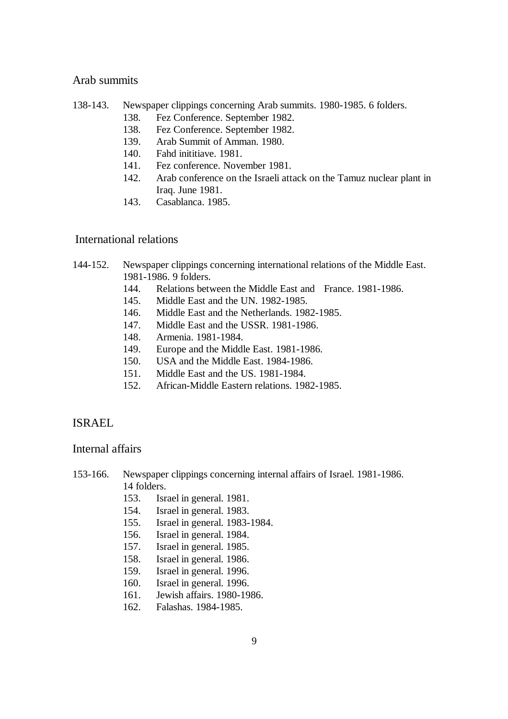## Arab summits

- 138-143. Newspaper clippings concerning Arab summits. 1980-1985. 6 folders.
	- 138. Fez Conference. September 1982.
	- 138. Fez Conference. September 1982.
	- 139. Arab Summit of Amman. 1980.
	- 140. Fahd inititiave. 1981.
	- 141. Fez conference. November 1981.
	- 142. Arab conference on the Israeli attack on the Tamuz nuclear plant in Iraq. June 1981.
	- 143. Casablanca. 1985.

### International relations

### 144-152. Newspaper clippings concerning international relations of the Middle East. 1981-1986. 9 folders.

- 144. Relations between the Middle East and France. 1981-1986.
- 145. Middle East and the UN. 1982-1985.
- 146. Middle East and the Netherlands. 1982-1985.
- 147. Middle East and the USSR. 1981-1986.
- 148. Armenia. 1981-1984.
- 149. Europe and the Middle East. 1981-1986.
- 150. USA and the Middle East. 1984-1986.
- 151. Middle East and the US. 1981-1984.
- 152. African-Middle Eastern relations. 1982-1985.

### ISRAEL

#### Internal affairs

#### 153-166. Newspaper clippings concerning internal affairs of Israel. 1981-1986. 14 folders.

- 153. Israel in general. 1981.
- 154. Israel in general. 1983.
- 155. Israel in general. 1983-1984.
- 156. Israel in general. 1984.
- 157. Israel in general. 1985.
- 158. Israel in general. 1986.
- 159. Israel in general. 1996.
- 160. Israel in general. 1996.
- 161. Jewish affairs. 1980-1986.
- 162. Falashas. 1984-1985.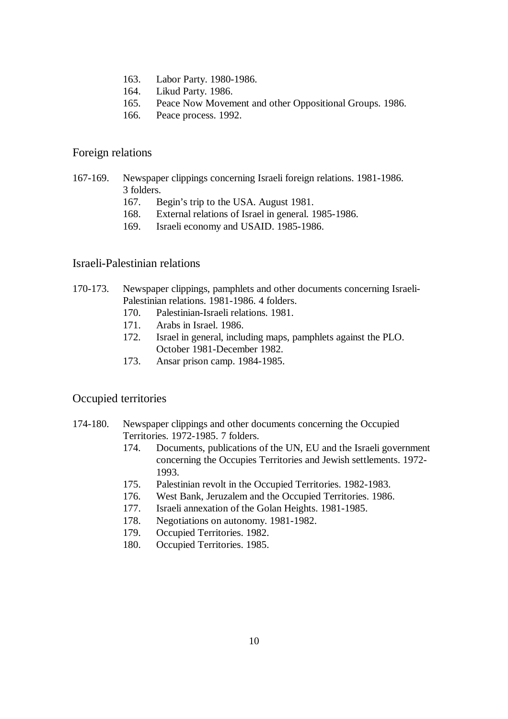- 163. Labor Party. 1980-1986.
- 164. Likud Party. 1986.
- 165. Peace Now Movement and other Oppositional Groups. 1986.
- 166. Peace process. 1992.

#### Foreign relations

- 167-169. Newspaper clippings concerning Israeli foreign relations. 1981-1986. 3 folders.
	- 167. Begin's trip to the USA. August 1981.
	- 168. External relations of Israel in general. 1985-1986.
	- 169. Israeli economy and USAID. 1985-1986.

### Israeli-Palestinian relations

170-173. Newspaper clippings, pamphlets and other documents concerning Israeli-Palestinian relations. 1981-1986. 4 folders.

- 170. Palestinian-Israeli relations. 1981.
- 171. Arabs in Israel. 1986.
- 172. Israel in general, including maps, pamphlets against the PLO. October 1981-December 1982.
- 173. Ansar prison camp. 1984-1985.

### Occupied territories

- 174-180. Newspaper clippings and other documents concerning the Occupied Territories. 1972-1985. 7 folders.
	- 174. Documents, publications of the UN, EU and the Israeli government concerning the Occupies Territories and Jewish settlements. 1972- 1993.
	- 175. Palestinian revolt in the Occupied Territories. 1982-1983.
	- 176. West Bank, Jeruzalem and the Occupied Territories. 1986.
	- 177. Israeli annexation of the Golan Heights. 1981-1985.
	- 178. Negotiations on autonomy. 1981-1982.
	- 179. Occupied Territories. 1982.
	- 180. Occupied Territories. 1985.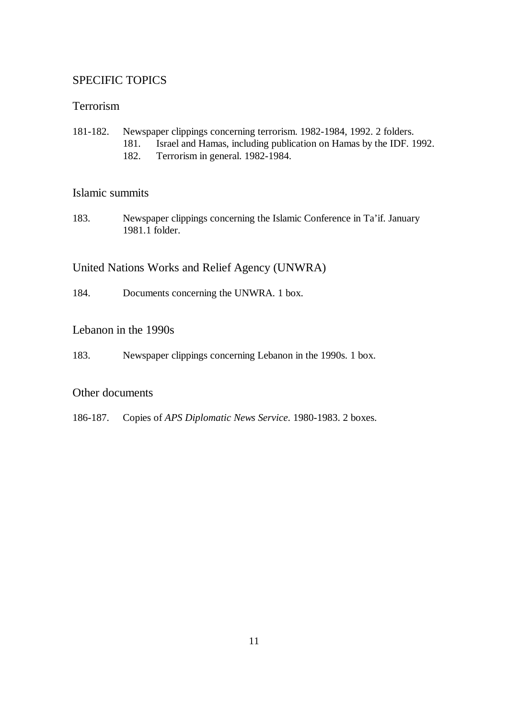# SPECIFIC TOPICS

# Terrorism

- 181-182. Newspaper clippings concerning terrorism. 1982-1984, 1992. 2 folders.
	- 181. Israel and Hamas, including publication on Hamas by the IDF. 1992.
	- 182. Terrorism in general. 1982-1984.

## Islamic summits

183. Newspaper clippings concerning the Islamic Conference in Ta'if. January 1981.1 folder.

# United Nations Works and Relief Agency (UNWRA)

184. Documents concerning the UNWRA. 1 box.

## Lebanon in the 1990s

183. Newspaper clippings concerning Lebanon in the 1990s. 1 box.

## Other documents

186-187. Copies of *APS Diplomatic News Service*. 1980-1983. 2 boxes.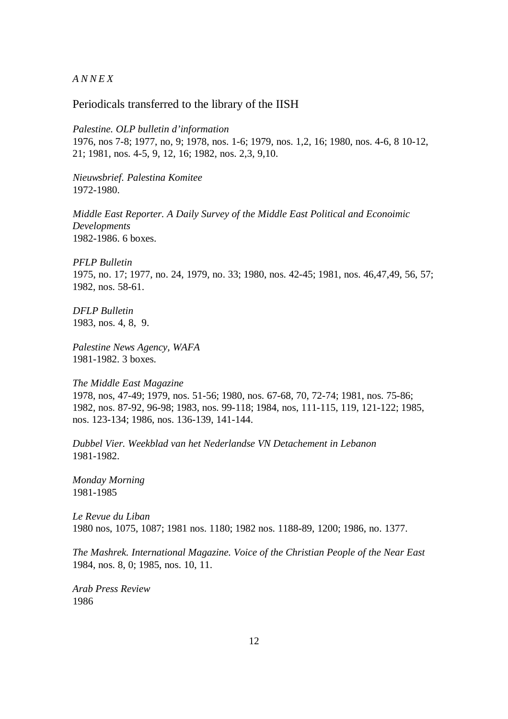*ANNEX*

Periodicals transferred to the library of the IISH

*Palestine. OLP bulletin d'information* 1976, nos 7-8; 1977, no, 9; 1978, nos. 1-6; 1979, nos. 1,2, 16; 1980, nos. 4-6, 8 10-12, 21; 1981, nos. 4-5, 9, 12, 16; 1982, nos. 2,3, 9,10.

*Nieuwsbrief. Palestina Komitee* 1972-1980.

*Middle East Reporter. A Daily Survey of the Middle East Political and Econoimic Developments* 1982-1986. 6 boxes.

*PFLP Bulletin*  1975, no. 17; 1977, no. 24, 1979, no. 33; 1980, nos. 42-45; 1981, nos. 46,47,49, 56, 57; 1982, nos. 58-61.

*DFLP Bulletin* 1983, nos. 4, 8, 9.

*Palestine News Agency, WAFA* 1981-1982. 3 boxes.

*The Middle East Magazine* 1978, nos, 47-49; 1979, nos. 51-56; 1980, nos. 67-68, 70, 72-74; 1981, nos. 75-86; 1982, nos. 87-92, 96-98; 1983, nos. 99-118; 1984, nos, 111-115, 119, 121-122; 1985, nos. 123-134; 1986, nos. 136-139, 141-144.

*Dubbel Vier. Weekblad van het Nederlandse VN Detachement in Lebanon* 1981-1982.

*Monday Morning* 1981-1985

*Le Revue du Liban* 1980 nos, 1075, 1087; 1981 nos. 1180; 1982 nos. 1188-89, 1200; 1986, no. 1377.

*The Mashrek. International Magazine. Voice of the Christian People of the Near East* 1984, nos. 8, 0; 1985, nos. 10, 11.

*Arab Press Review* 1986